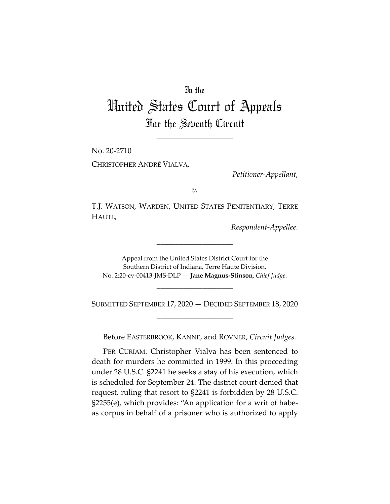## In the

## United States Court of Appeals For the Seventh Circuit

\_\_\_\_\_\_\_\_\_\_\_\_\_\_\_\_\_\_\_\_

No. 20-2710 CHRISTOPHER ANDRÉ VIALVA,

*Petitioner-Appellant*,

*v.*

T.J. WATSON, WARDEN, UNITED STATES PENITENTIARY, TERRE HAUTE,

*Respondent-Appellee*.

Appeal from the United States District Court for the Southern District of Indiana, Terre Haute Division. No. 2:20-cv-00413-JMS-DLP — **Jane Magnus-Stinson**, *Chief Judge*.

\_\_\_\_\_\_\_\_\_\_\_\_\_\_\_\_\_\_\_\_

SUBMITTED SEPTEMBER 17, 2020 — DECIDED SEPTEMBER 18, 2020 \_\_\_\_\_\_\_\_\_\_\_\_\_\_\_\_\_\_\_\_

\_\_\_\_\_\_\_\_\_\_\_\_\_\_\_\_\_\_\_\_

Before EASTERBROOK, KANNE, and ROVNER, *Circuit Judges*.

PER CURIAM. Christopher Vialva has been sentenced to death for murders he committed in 1999. In this proceeding under 28 U.S.C. §2241 he seeks a stay of his execution, which is scheduled for September 24. The district court denied that request, ruling that resort to §2241 is forbidden by 28 U.S.C. §2255(e), which provides: "An application for a writ of habeas corpus in behalf of a prisoner who is authorized to apply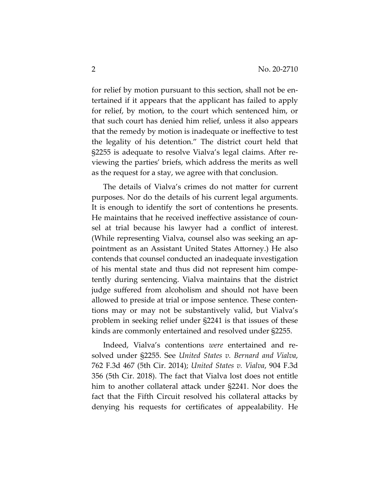for relief by motion pursuant to this section, shall not be entertained if it appears that the applicant has failed to apply for relief, by motion, to the court which sentenced him, or that such court has denied him relief, unless it also appears that the remedy by motion is inadequate or ineffective to test the legality of his detention." The district court held that §2255 is adequate to resolve Vialva's legal claims. After reviewing the parties' briefs, which address the merits as well as the request for a stay, we agree with that conclusion.

The details of Vialva's crimes do not matter for current purposes. Nor do the details of his current legal arguments. It is enough to identify the sort of contentions he presents. He maintains that he received ineffective assistance of counsel at trial because his lawyer had a conflict of interest. (While representing Vialva, counsel also was seeking an appointment as an Assistant United States Attorney.) He also contends that counsel conducted an inadequate investigation of his mental state and thus did not represent him competently during sentencing. Vialva maintains that the district judge suffered from alcoholism and should not have been allowed to preside at trial or impose sentence. These contentions may or may not be substantively valid, but Vialva's problem in seeking relief under §2241 is that issues of these kinds are commonly entertained and resolved under §2255.

Indeed, Vialva's contentions *were* entertained and resolved under §2255. See *United States v. Bernard and Vialva*, 762 F.3d 467 (5th Cir. 2014); *United States v. Vialva*, 904 F.3d 356 (5th Cir. 2018). The fact that Vialva lost does not entitle him to another collateral attack under §2241. Nor does the fact that the Fifth Circuit resolved his collateral attacks by denying his requests for certificates of appealability. He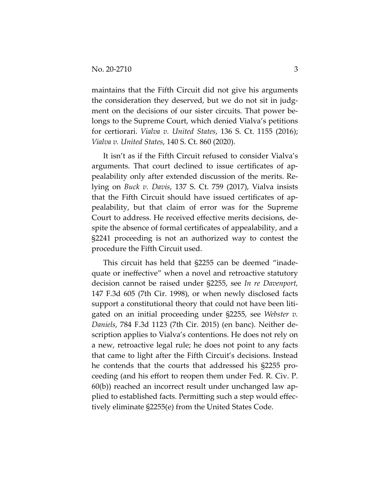maintains that the Fifth Circuit did not give his arguments the consideration they deserved, but we do not sit in judgment on the decisions of our sister circuits. That power belongs to the Supreme Court, which denied Vialva's petitions for certiorari. *Vialva v. United States*, 136 S. Ct. 1155 (2016); *Vialva v. United States*, 140 S. Ct. 860 (2020).

It isn't as if the Fifth Circuit refused to consider Vialva's arguments. That court declined to issue certificates of appealability only after extended discussion of the merits. Relying on *Buck v. Davis*, 137 S. Ct. 759 (2017), Vialva insists that the Fifth Circuit should have issued certificates of appealability, but that claim of error was for the Supreme Court to address. He received effective merits decisions, despite the absence of formal certificates of appealability, and a §2241 proceeding is not an authorized way to contest the procedure the Fifth Circuit used.

This circuit has held that §2255 can be deemed "inadequate or ineffective" when a novel and retroactive statutory decision cannot be raised under §2255, see *In re Davenport,* 147 F.3d 605 (7th Cir. 1998), or when newly disclosed facts support a constitutional theory that could not have been litigated on an initial proceeding under §2255, see *Webster v. Daniels*, 784 F.3d 1123 (7th Cir. 2015) (en banc). Neither description applies to Vialva's contentions. He does not rely on a new, retroactive legal rule; he does not point to any facts that came to light after the Fifth Circuit's decisions. Instead he contends that the courts that addressed his §2255 proceeding (and his effort to reopen them under Fed. R. Civ. P. 60(b)) reached an incorrect result under unchanged law applied to established facts. Permitting such a step would effectively eliminate §2255(e) from the United States Code.